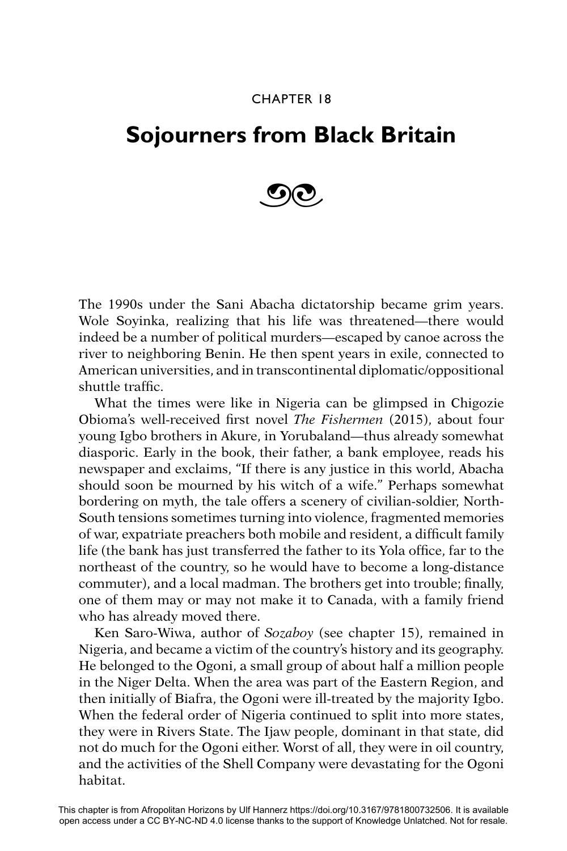## CHAPTER 18

## **Sojourners from Black Britain**



The 1990s under the Sani Abacha dictatorship became grim years. Wole Soyinka, realizing that his life was threatened—there would indeed be a number of political murders—escaped by canoe across the river to neighboring Benin. He then spent years in exile, connected to American universities, and in transcontinental diplomatic/oppositional shuttle traffic.

What the times were like in Nigeria can be glimpsed in Chigozie Obioma's well-received first novel *The Fishermen* (2015), about four young Igbo brothers in Akure, in Yorubaland—thus already somewhat diasporic. Early in the book, their father, a bank employee, reads his newspaper and exclaims, "If there is any justice in this world, Abacha should soon be mourned by his witch of a wife." Perhaps somewhat bordering on myth, the tale offers a scenery of civilian-soldier, North-South tensions sometimes turning into violence, fragmented memories of war, expatriate preachers both mobile and resident, a difficult family life (the bank has just transferred the father to its Yola office, far to the northeast of the country, so he would have to become a long-distance commuter), and a local madman. The brothers get into trouble; finally, one of them may or may not make it to Canada, with a family friend who has already moved there.

Ken Saro-Wiwa, author of *Sozaboy* (see chapter 15), remained in Nigeria, and became a victim of the country's history and its geography. He belonged to the Ogoni, a small group of about half a million people in the Niger Delta. When the area was part of the Eastern Region, and then initially of Biafra, the Ogoni were ill-treated by the majority Igbo. When the federal order of Nigeria continued to split into more states, they were in Rivers State. The Ijaw people, dominant in that state, did not do much for the Ogoni either. Worst of all, they were in oil country, and the activities of the Shell Company were devastating for the Ogoni habitat.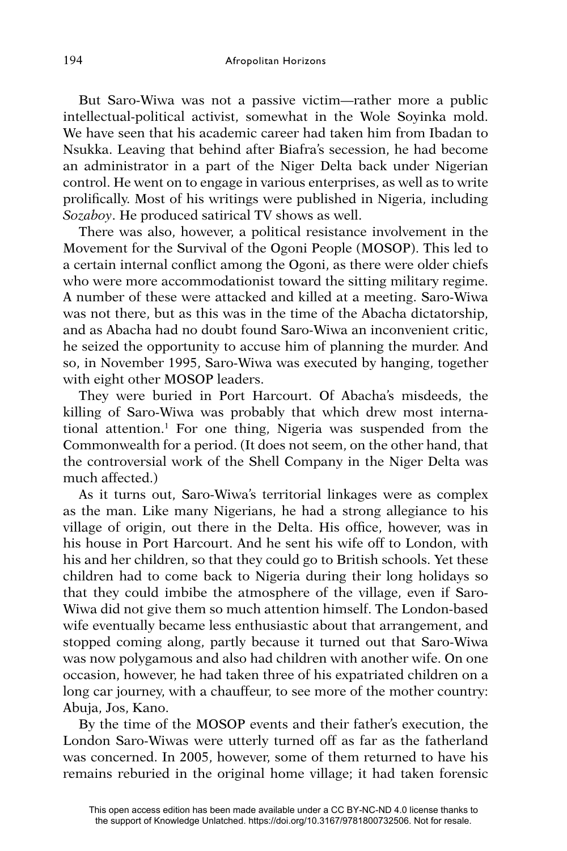But Saro-Wiwa was not a passive victim—rather more a public intellectual-political activist, somewhat in the Wole Soyinka mold. We have seen that his academic career had taken him from Ibadan to Nsukka. Leaving that behind after Biafra's secession, he had become an administrator in a part of the Niger Delta back under Nigerian control. He went on to engage in various enterprises, as well as to write prolifically. Most of his writings were published in Nigeria, including *Sozaboy*. He produced satirical TV shows as well.

There was also, however, a political resistance involvement in the Movement for the Survival of the Ogoni People (MOSOP). This led to a certain internal conflict among the Ogoni, as there were older chiefs who were more accommodationist toward the sitting military regime. A number of these were attacked and killed at a meeting. Saro-Wiwa was not there, but as this was in the time of the Abacha dictatorship, and as Abacha had no doubt found Saro-Wiwa an inconvenient critic, he seized the opportunity to accuse him of planning the murder. And so, in November 1995, Saro-Wiwa was executed by hanging, together with eight other MOSOP leaders.

They were buried in Port Harcourt. Of Abacha's misdeeds, the killing of Saro-Wiwa was probably that which drew most international attention.1 For one thing, Nigeria was suspended from the Commonwealth for a period. (It does not seem, on the other hand, that the controversial work of the Shell Company in the Niger Delta was much affected.)

As it turns out, Saro-Wiwa's territorial linkages were as complex as the man. Like many Nigerians, he had a strong allegiance to his village of origin, out there in the Delta. His office, however, was in his house in Port Harcourt. And he sent his wife off to London, with his and her children, so that they could go to British schools. Yet these children had to come back to Nigeria during their long holidays so that they could imbibe the atmosphere of the village, even if Saro-Wiwa did not give them so much attention himself. The London-based wife eventually became less enthusiastic about that arrangement, and stopped coming along, partly because it turned out that Saro-Wiwa was now polygamous and also had children with another wife. On one occasion, however, he had taken three of his expatriated children on a long car journey, with a chauffeur, to see more of the mother country: Abuja, Jos, Kano.

By the time of the MOSOP events and their father's execution, the London Saro-Wiwas were utterly turned off as far as the fatherland was concerned. In 2005, however, some of them returned to have his remains reburied in the original home village; it had taken forensic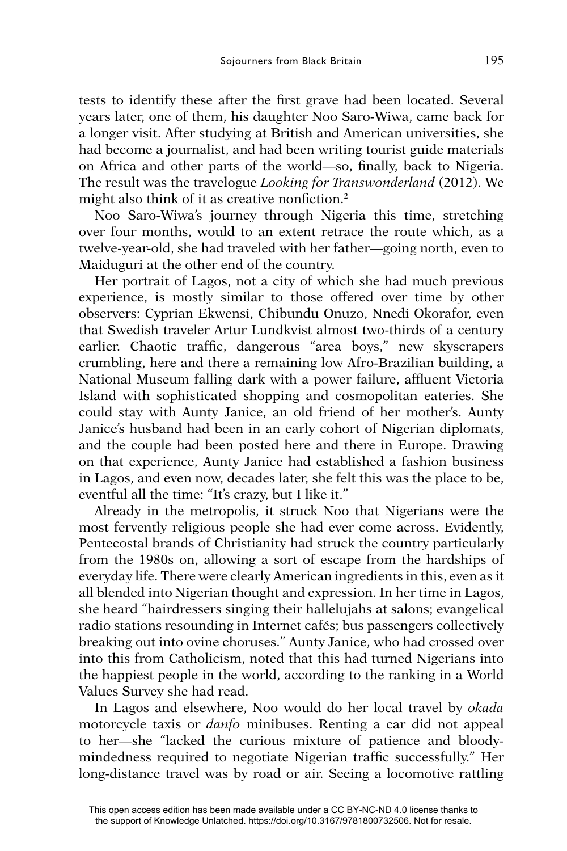tests to identify these after the first grave had been located. Several years later, one of them, his daughter Noo Saro-Wiwa, came back for a longer visit. After studying at British and American universities, she had become a journalist, and had been writing tourist guide materials on Africa and other parts of the world—so, finally, back to Nigeria. The result was the travelogue *Looking for Transwonderland* (2012). We might also think of it as creative nonfiction.<sup>2</sup>

Noo Saro-Wiwa's journey through Nigeria this time, stretching over four months, would to an extent retrace the route which, as a twelve-year-old, she had traveled with her father—going north, even to Maiduguri at the other end of the country.

Her portrait of Lagos, not a city of which she had much previous experience, is mostly similar to those offered over time by other observers: Cyprian Ekwensi, Chibundu Onuzo, Nnedi Okorafor, even that Swedish traveler Artur Lundkvist almost two-thirds of a century earlier. Chaotic traffic, dangerous "area boys," new skyscrapers crumbling, here and there a remaining low Afro-Brazilian building, a National Museum falling dark with a power failure, affluent Victoria Island with sophisticated shopping and cosmopolitan eateries. She could stay with Aunty Janice, an old friend of her mother's. Aunty Janice's husband had been in an early cohort of Nigerian diplomats, and the couple had been posted here and there in Europe. Drawing on that experience, Aunty Janice had established a fashion business in Lagos, and even now, decades later, she felt this was the place to be, eventful all the time: "It's crazy, but I like it."

Already in the metropolis, it struck Noo that Nigerians were the most fervently religious people she had ever come across. Evidently, Pentecostal brands of Christianity had struck the country particularly from the 1980s on, allowing a sort of escape from the hardships of everyday life. There were clearly American ingredients in this, even as it all blended into Nigerian thought and expression. In her time in Lagos, she heard "hairdressers singing their hallelujahs at salons; evangelical radio stations resounding in Internet cafés; bus passengers collectively breaking out into ovine choruses." Aunty Janice, who had crossed over into this from Catholicism, noted that this had turned Nigerians into the happiest people in the world, according to the ranking in a World Values Survey she had read.

In Lagos and elsewhere, Noo would do her local travel by *okada* motorcycle taxis or *danfo* minibuses. Renting a car did not appeal to her—she "lacked the curious mixture of patience and bloodymindedness required to negotiate Nigerian traffic successfully." Her long-distance travel was by road or air. Seeing a locomotive rattling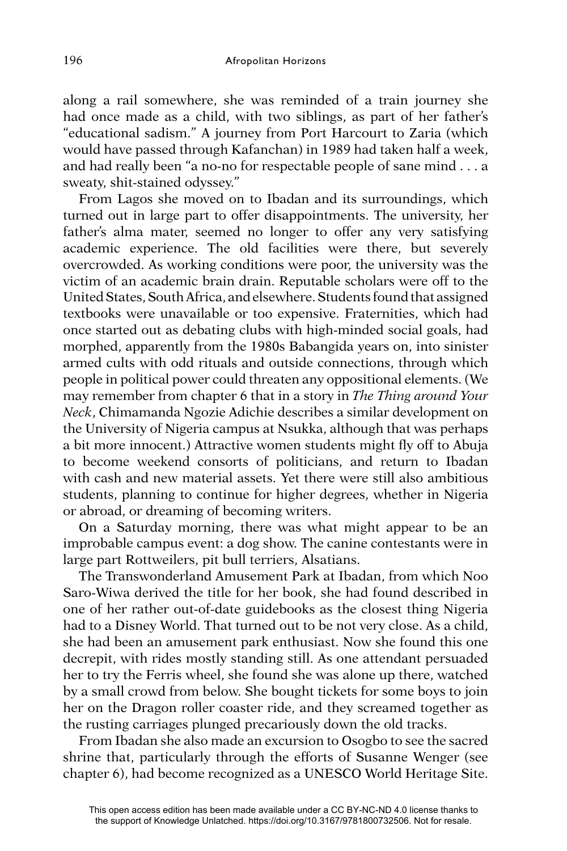along a rail somewhere, she was reminded of a train journey she had once made as a child, with two siblings, as part of her father's "educational sadism." A journey from Port Harcourt to Zaria (which would have passed through Kafanchan) in 1989 had taken half a week, and had really been "a no-no for respectable people of sane mind . . . a sweaty, shit-stained odyssey."

From Lagos she moved on to Ibadan and its surroundings, which turned out in large part to offer disappointments. The university, her father's alma mater, seemed no longer to offer any very satisfying academic experience. The old facilities were there, but severely overcrowded. As working conditions were poor, the university was the victim of an academic brain drain. Reputable scholars were off to the United States, South Africa, and elsewhere. Students found that assigned textbooks were unavailable or too expensive. Fraternities, which had once started out as debating clubs with high-minded social goals, had morphed, apparently from the 1980s Babangida years on, into sinister armed cults with odd rituals and outside connections, through which people in political power could threaten any oppositional elements. (We may remember from chapter 6 that in a story in *The Thing around Your Neck*, Chimamanda Ngozie Adichie describes a similar development on the University of Nigeria campus at Nsukka, although that was perhaps a bit more innocent.) Attractive women students might fly off to Abuja to become weekend consorts of politicians, and return to Ibadan with cash and new material assets. Yet there were still also ambitious students, planning to continue for higher degrees, whether in Nigeria or abroad, or dreaming of becoming writers.

On a Saturday morning, there was what might appear to be an improbable campus event: a dog show. The canine contestants were in large part Rottweilers, pit bull terriers, Alsatians.

The Transwonderland Amusement Park at Ibadan, from which Noo Saro-Wiwa derived the title for her book, she had found described in one of her rather out-of-date guidebooks as the closest thing Nigeria had to a Disney World. That turned out to be not very close. As a child, she had been an amusement park enthusiast. Now she found this one decrepit, with rides mostly standing still. As one attendant persuaded her to try the Ferris wheel, she found she was alone up there, watched by a small crowd from below. She bought tickets for some boys to join her on the Dragon roller coaster ride, and they screamed together as the rusting carriages plunged precariously down the old tracks.

From Ibadan she also made an excursion to Osogbo to see the sacred shrine that, particularly through the efforts of Susanne Wenger (see chapter 6), had become recognized as a UNESCO World Heritage Site.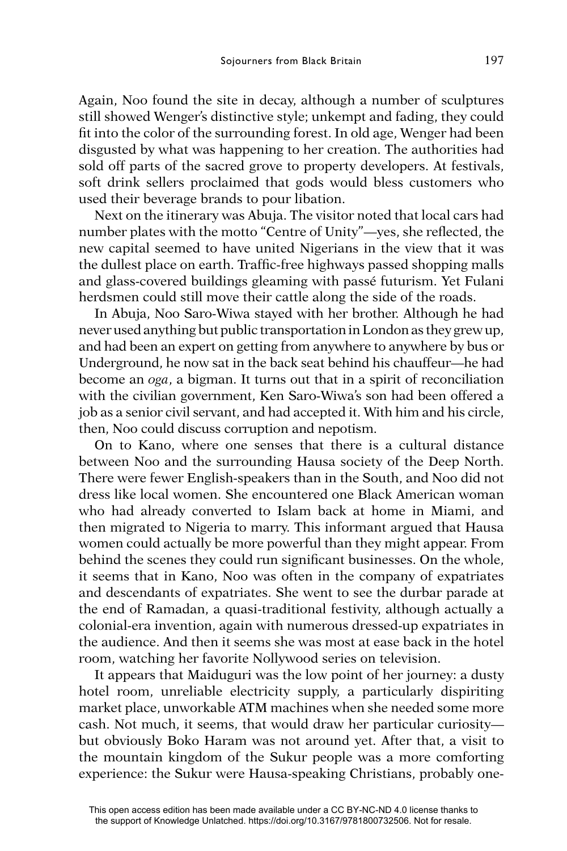Again, Noo found the site in decay, although a number of sculptures still showed Wenger's distinctive style; unkempt and fading, they could fit into the color of the surrounding forest. In old age, Wenger had been disgusted by what was happening to her creation. The authorities had sold off parts of the sacred grove to property developers. At festivals, soft drink sellers proclaimed that gods would bless customers who used their beverage brands to pour libation.

Next on the itinerary was Abuja. The visitor noted that local cars had number plates with the motto "Centre of Unity"—yes, she reflected, the new capital seemed to have united Nigerians in the view that it was the dullest place on earth. Traffic-free highways passed shopping malls and glass-covered buildings gleaming with passé futurism. Yet Fulani herdsmen could still move their cattle along the side of the roads.

In Abuja, Noo Saro-Wiwa stayed with her brother. Although he had never used anything but public transportation in London as they grew up, and had been an expert on getting from anywhere to anywhere by bus or Underground, he now sat in the back seat behind his chauffeur—he had become an *oga*, a bigman. It turns out that in a spirit of reconciliation with the civilian government, Ken Saro-Wiwa's son had been offered a job as a senior civil servant, and had accepted it. With him and his circle, then, Noo could discuss corruption and nepotism.

On to Kano, where one senses that there is a cultural distance between Noo and the surrounding Hausa society of the Deep North. There were fewer English-speakers than in the South, and Noo did not dress like local women. She encountered one Black American woman who had already converted to Islam back at home in Miami, and then migrated to Nigeria to marry. This informant argued that Hausa women could actually be more powerful than they might appear. From behind the scenes they could run significant businesses. On the whole, it seems that in Kano, Noo was often in the company of expatriates and descendants of expatriates. She went to see the durbar parade at the end of Ramadan, a quasi-traditional festivity, although actually a colonial-era invention, again with numerous dressed-up expatriates in the audience. And then it seems she was most at ease back in the hotel room, watching her favorite Nollywood series on television.

It appears that Maiduguri was the low point of her journey: a dusty hotel room, unreliable electricity supply, a particularly dispiriting market place, unworkable ATM machines when she needed some more cash. Not much, it seems, that would draw her particular curiosity but obviously Boko Haram was not around yet. After that, a visit to the mountain kingdom of the Sukur people was a more comforting experience: the Sukur were Hausa-speaking Christians, probably one-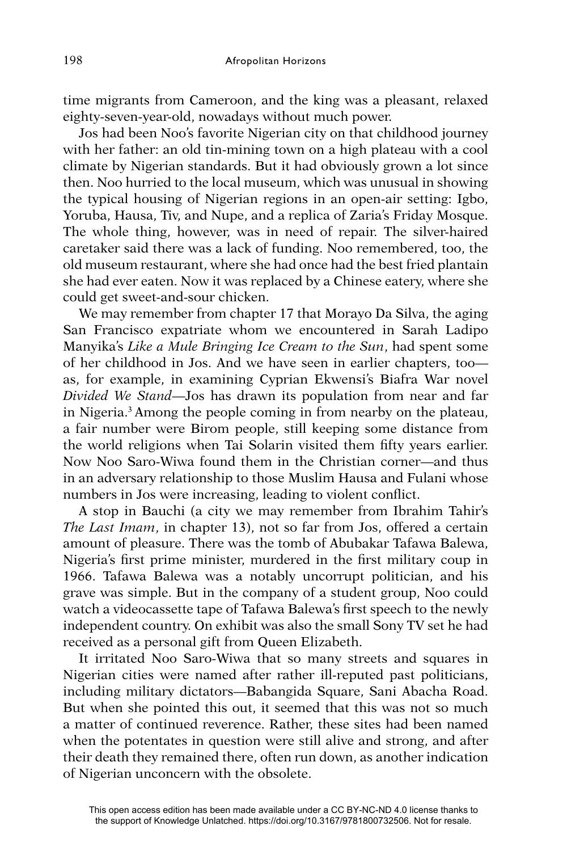time migrants from Cameroon, and the king was a pleasant, relaxed eighty-seven-year-old, nowadays without much power.

Jos had been Noo's favorite Nigerian city on that childhood journey with her father: an old tin-mining town on a high plateau with a cool climate by Nigerian standards. But it had obviously grown a lot since then. Noo hurried to the local museum, which was unusual in showing the typical housing of Nigerian regions in an open-air setting: Igbo, Yoruba, Hausa, Tiv, and Nupe, and a replica of Zaria's Friday Mosque. The whole thing, however, was in need of repair. The silver-haired caretaker said there was a lack of funding. Noo remembered, too, the old museum restaurant, where she had once had the best fried plantain she had ever eaten. Now it was replaced by a Chinese eatery, where she could get sweet-and-sour chicken.

We may remember from chapter 17 that Morayo Da Silva, the aging San Francisco expatriate whom we encountered in Sarah Ladipo Manyika's *Like a Mule Bringing Ice Cream to the Sun*, had spent some of her childhood in Jos. And we have seen in earlier chapters, too as, for example, in examining Cyprian Ekwensi's Biafra War novel *Divided We Stand*—Jos has drawn its population from near and far in Nigeria.3 Among the people coming in from nearby on the plateau, a fair number were Birom people, still keeping some distance from the world religions when Tai Solarin visited them fifty years earlier. Now Noo Saro-Wiwa found them in the Christian corner—and thus in an adversary relationship to those Muslim Hausa and Fulani whose numbers in Jos were increasing, leading to violent conflict.

A stop in Bauchi (a city we may remember from Ibrahim Tahir's *The Last Imam*, in chapter 13), not so far from Jos, offered a certain amount of pleasure. There was the tomb of Abubakar Tafawa Balewa, Nigeria's first prime minister, murdered in the first military coup in 1966. Tafawa Balewa was a notably uncorrupt politician, and his grave was simple. But in the company of a student group, Noo could watch a videocassette tape of Tafawa Balewa's first speech to the newly independent country. On exhibit was also the small Sony TV set he had received as a personal gift from Queen Elizabeth.

It irritated Noo Saro-Wiwa that so many streets and squares in Nigerian cities were named after rather ill-reputed past politicians, including military dictators—Babangida Square, Sani Abacha Road. But when she pointed this out, it seemed that this was not so much a matter of continued reverence. Rather, these sites had been named when the potentates in question were still alive and strong, and after their death they remained there, often run down, as another indication of Nigerian unconcern with the obsolete.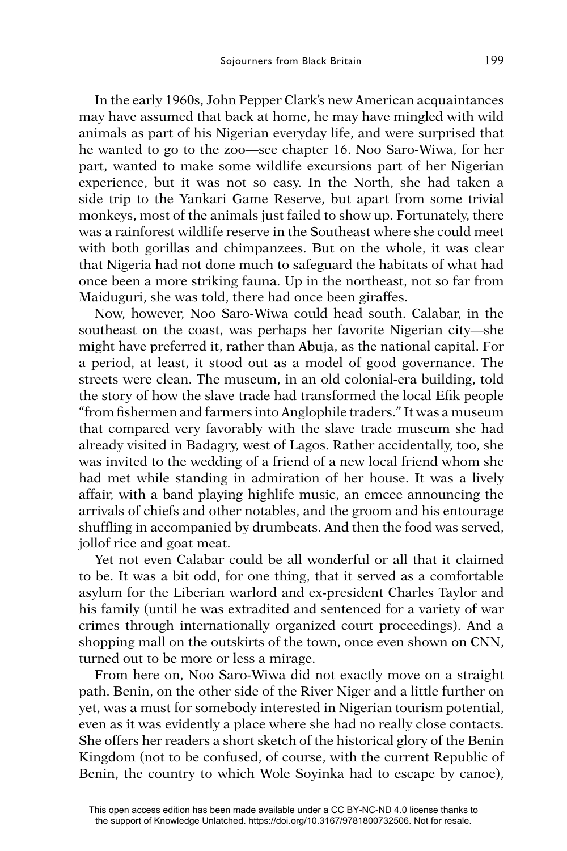In the early 1960s, John Pepper Clark's new American acquaintances may have assumed that back at home, he may have mingled with wild animals as part of his Nigerian everyday life, and were surprised that he wanted to go to the zoo—see chapter 16. Noo Saro-Wiwa, for her part, wanted to make some wildlife excursions part of her Nigerian experience, but it was not so easy. In the North, she had taken a side trip to the Yankari Game Reserve, but apart from some trivial monkeys, most of the animals just failed to show up. Fortunately, there was a rainforest wildlife reserve in the Southeast where she could meet with both gorillas and chimpanzees. But on the whole, it was clear that Nigeria had not done much to safeguard the habitats of what had once been a more striking fauna. Up in the northeast, not so far from Maiduguri, she was told, there had once been giraffes.

Now, however, Noo Saro-Wiwa could head south. Calabar, in the southeast on the coast, was perhaps her favorite Nigerian city—she might have preferred it, rather than Abuja, as the national capital. For a period, at least, it stood out as a model of good governance. The streets were clean. The museum, in an old colonial-era building, told the story of how the slave trade had transformed the local Efik people "from fishermen and farmers into Anglophile traders." It was a museum that compared very favorably with the slave trade museum she had already visited in Badagry, west of Lagos. Rather accidentally, too, she was invited to the wedding of a friend of a new local friend whom she had met while standing in admiration of her house. It was a lively affair, with a band playing highlife music, an emcee announcing the arrivals of chiefs and other notables, and the groom and his entourage shuffling in accompanied by drumbeats. And then the food was served, jollof rice and goat meat.

Yet not even Calabar could be all wonderful or all that it claimed to be. It was a bit odd, for one thing, that it served as a comfortable asylum for the Liberian warlord and ex-president Charles Taylor and his family (until he was extradited and sentenced for a variety of war crimes through internationally organized court proceedings). And a shopping mall on the outskirts of the town, once even shown on CNN, turned out to be more or less a mirage.

From here on, Noo Saro-Wiwa did not exactly move on a straight path. Benin, on the other side of the River Niger and a little further on yet, was a must for somebody interested in Nigerian tourism potential, even as it was evidently a place where she had no really close contacts. She offers her readers a short sketch of the historical glory of the Benin Kingdom (not to be confused, of course, with the current Republic of Benin, the country to which Wole Soyinka had to escape by canoe),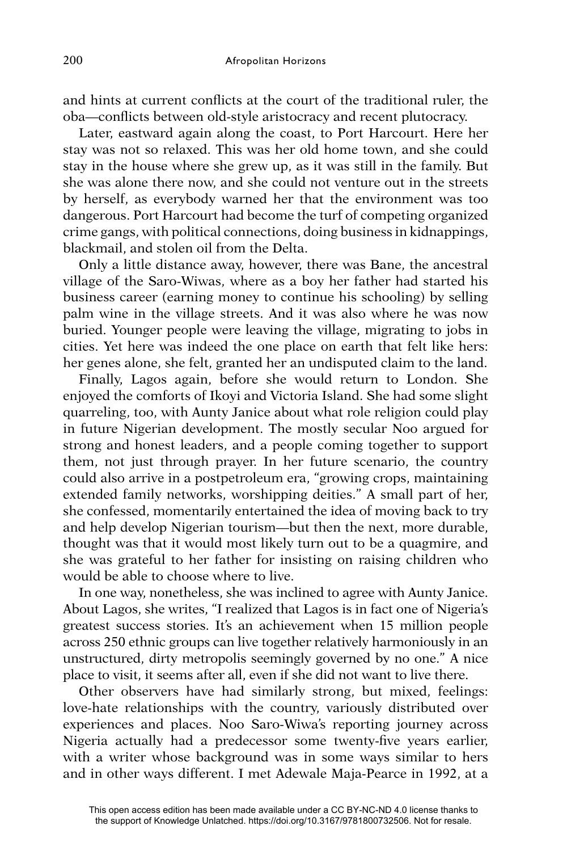and hints at current conflicts at the court of the traditional ruler, the oba—conflicts between old-style aristocracy and recent plutocracy.

Later, eastward again along the coast, to Port Harcourt. Here her stay was not so relaxed. This was her old home town, and she could stay in the house where she grew up, as it was still in the family. But she was alone there now, and she could not venture out in the streets by herself, as everybody warned her that the environment was too dangerous. Port Harcourt had become the turf of competing organized crime gangs, with political connections, doing business in kidnappings, blackmail, and stolen oil from the Delta.

Only a little distance away, however, there was Bane, the ancestral village of the Saro-Wiwas, where as a boy her father had started his business career (earning money to continue his schooling) by selling palm wine in the village streets. And it was also where he was now buried. Younger people were leaving the village, migrating to jobs in cities. Yet here was indeed the one place on earth that felt like hers: her genes alone, she felt, granted her an undisputed claim to the land.

Finally, Lagos again, before she would return to London. She enjoyed the comforts of Ikoyi and Victoria Island. She had some slight quarreling, too, with Aunty Janice about what role religion could play in future Nigerian development. The mostly secular Noo argued for strong and honest leaders, and a people coming together to support them, not just through prayer. In her future scenario, the country could also arrive in a postpetroleum era, "growing crops, maintaining extended family networks, worshipping deities." A small part of her, she confessed, momentarily entertained the idea of moving back to try and help develop Nigerian tourism—but then the next, more durable, thought was that it would most likely turn out to be a quagmire, and she was grateful to her father for insisting on raising children who would be able to choose where to live.

In one way, nonetheless, she was inclined to agree with Aunty Janice. About Lagos, she writes, "I realized that Lagos is in fact one of Nigeria's greatest success stories. It's an achievement when 15 million people across 250 ethnic groups can live together relatively harmoniously in an unstructured, dirty metropolis seemingly governed by no one." A nice place to visit, it seems after all, even if she did not want to live there.

Other observers have had similarly strong, but mixed, feelings: love-hate relationships with the country, variously distributed over experiences and places. Noo Saro-Wiwa's reporting journey across Nigeria actually had a predecessor some twenty-five years earlier, with a writer whose background was in some ways similar to hers and in other ways different. I met Adewale Maja-Pearce in 1992, at a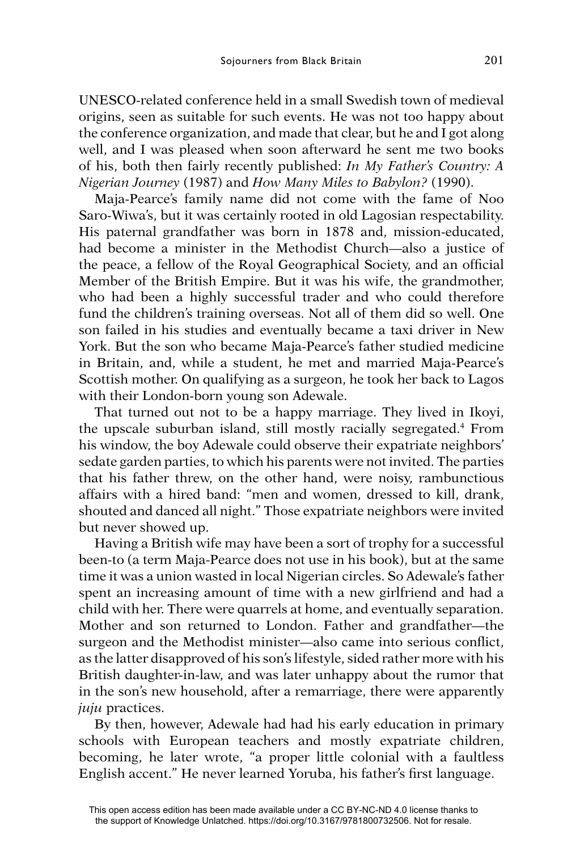UNESCO-related conference held in a small Swedish town of medieval origins, seen as suitable for such events. He was not too happy about the conference organization, and made that clear, but he and I got along well, and I was pleased when soon afterward he sent me two books of his, both then fairly recently published: *In My Father's Country: A Nigerian Journey* (1987) and *How Many Miles to Babylon?* (1990).

Maja-Pearce's family name did not come with the fame of Noo Saro-Wiwa's, but it was certainly rooted in old Lagosian respectability. His paternal grandfather was born in 1878 and, mission-educated, had become a minister in the Methodist Church—also a justice of the peace, a fellow of the Royal Geographical Society, and an official Member of the British Empire. But it was his wife, the grandmother, who had been a highly successful trader and who could therefore fund the children's training overseas. Not all of them did so well. One son failed in his studies and eventually became a taxi driver in New York. But the son who became Maja-Pearce's father studied medicine in Britain, and, while a student, he met and married Maja-Pearce's Scottish mother. On qualifying as a surgeon, he took her back to Lagos with their London-born young son Adewale.

That turned out not to be a happy marriage. They lived in Ikoyi, the upscale suburban island, still mostly racially segregated.4 From his window, the boy Adewale could observe their expatriate neighbors' sedate garden parties, to which his parents were not invited. The parties that his father threw, on the other hand, were noisy, rambunctious affairs with a hired band: "men and women, dressed to kill, drank, shouted and danced all night." Those expatriate neighbors were invited but never showed up.

Having a British wife may have been a sort of trophy for a successful been-to (a term Maja-Pearce does not use in his book), but at the same time it was a union wasted in local Nigerian circles. So Adewale's father spent an increasing amount of time with a new girlfriend and had a child with her. There were quarrels at home, and eventually separation. Mother and son returned to London. Father and grandfather—the surgeon and the Methodist minister—also came into serious conflict, as the latter disapproved of his son's lifestyle, sided rather more with his British daughter-in-law, and was later unhappy about the rumor that in the son's new household, after a remarriage, there were apparently *juju* practices.

By then, however, Adewale had had his early education in primary schools with European teachers and mostly expatriate children, becoming, he later wrote, "a proper little colonial with a faultless English accent." He never learned Yoruba, his father's first language.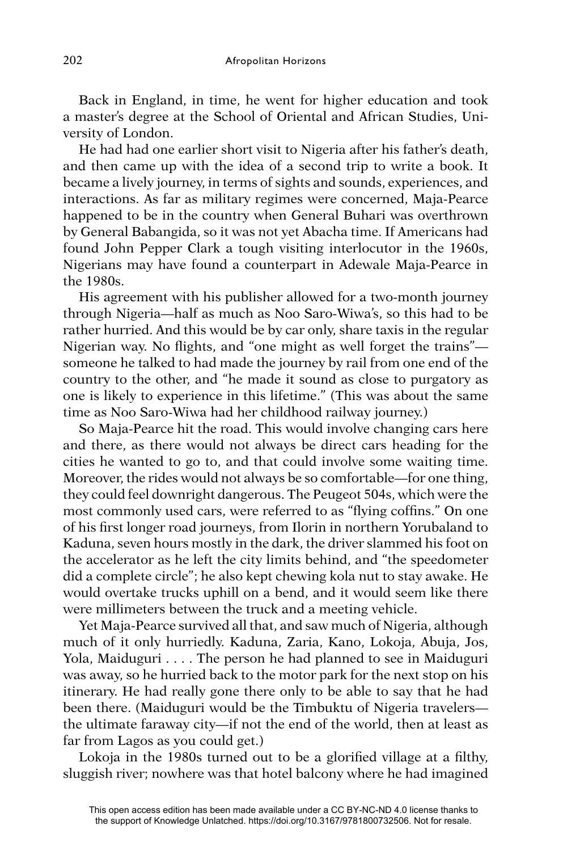Back in England, in time, he went for higher education and took a master's degree at the School of Oriental and African Studies, University of London.

He had had one earlier short visit to Nigeria after his father's death, and then came up with the idea of a second trip to write a book. It became a lively journey, in terms of sights and sounds, experiences, and interactions. As far as military regimes were concerned, Maja-Pearce happened to be in the country when General Buhari was overthrown by General Babangida, so it was not yet Abacha time. If Americans had found John Pepper Clark a tough visiting interlocutor in the 1960s, Nigerians may have found a counterpart in Adewale Maja-Pearce in the 1980s.

His agreement with his publisher allowed for a two-month journey through Nigeria—half as much as Noo Saro-Wiwa's, so this had to be rather hurried. And this would be by car only, share taxis in the regular Nigerian way. No flights, and "one might as well forget the trains" someone he talked to had made the journey by rail from one end of the country to the other, and "he made it sound as close to purgatory as one is likely to experience in this lifetime." (This was about the same time as Noo Saro-Wiwa had her childhood railway journey.)

So Maja-Pearce hit the road. This would involve changing cars here and there, as there would not always be direct cars heading for the cities he wanted to go to, and that could involve some waiting time. Moreover, the rides would not always be so comfortable—for one thing, they could feel downright dangerous. The Peugeot 504s, which were the most commonly used cars, were referred to as "flying coffins." On one of his first longer road journeys, from Ilorin in northern Yorubaland to Kaduna, seven hours mostly in the dark, the driver slammed his foot on the accelerator as he left the city limits behind, and "the speedometer did a complete circle"; he also kept chewing kola nut to stay awake. He would overtake trucks uphill on a bend, and it would seem like there were millimeters between the truck and a meeting vehicle.

Yet Maja-Pearce survived all that, and saw much of Nigeria, although much of it only hurriedly. Kaduna, Zaria, Kano, Lokoja, Abuja, Jos, Yola, Maiduguri . . . . The person he had planned to see in Maiduguri was away, so he hurried back to the motor park for the next stop on his itinerary. He had really gone there only to be able to say that he had been there. (Maiduguri would be the Timbuktu of Nigeria travelers the ultimate faraway city—if not the end of the world, then at least as far from Lagos as you could get.)

Lokoja in the 1980s turned out to be a glorified village at a filthy, sluggish river; nowhere was that hotel balcony where he had imagined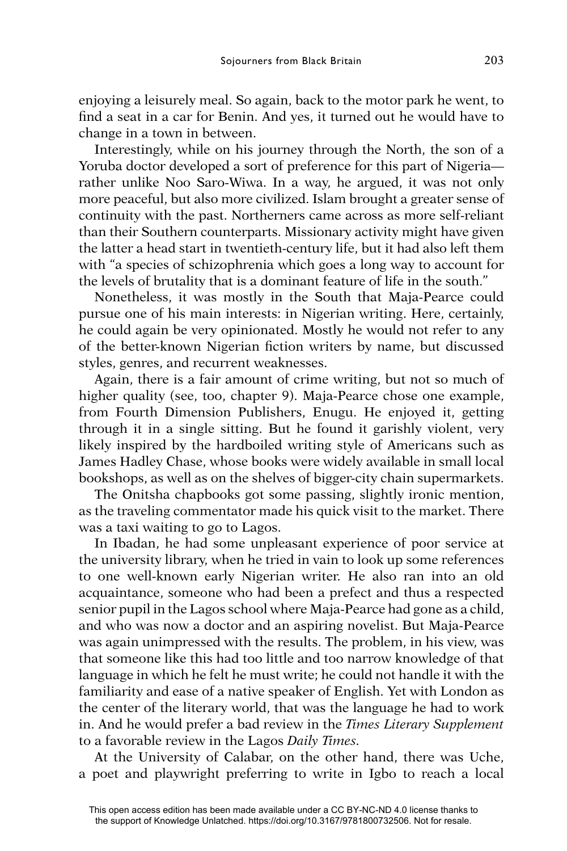enjoying a leisurely meal. So again, back to the motor park he went, to find a seat in a car for Benin. And yes, it turned out he would have to change in a town in between.

Interestingly, while on his journey through the North, the son of a Yoruba doctor developed a sort of preference for this part of Nigeria rather unlike Noo Saro-Wiwa. In a way, he argued, it was not only more peaceful, but also more civilized. Islam brought a greater sense of continuity with the past. Northerners came across as more self-reliant than their Southern counterparts. Missionary activity might have given the latter a head start in twentieth-century life, but it had also left them with "a species of schizophrenia which goes a long way to account for the levels of brutality that is a dominant feature of life in the south."

Nonetheless, it was mostly in the South that Maja-Pearce could pursue one of his main interests: in Nigerian writing. Here, certainly, he could again be very opinionated. Mostly he would not refer to any of the better-known Nigerian fiction writers by name, but discussed styles, genres, and recurrent weaknesses.

Again, there is a fair amount of crime writing, but not so much of higher quality (see, too, chapter 9). Maja-Pearce chose one example, from Fourth Dimension Publishers, Enugu. He enjoyed it, getting through it in a single sitting. But he found it garishly violent, very likely inspired by the hardboiled writing style of Americans such as James Hadley Chase, whose books were widely available in small local bookshops, as well as on the shelves of bigger-city chain supermarkets.

The Onitsha chapbooks got some passing, slightly ironic mention, as the traveling commentator made his quick visit to the market. There was a taxi waiting to go to Lagos.

In Ibadan, he had some unpleasant experience of poor service at the university library, when he tried in vain to look up some references to one well-known early Nigerian writer. He also ran into an old acquaintance, someone who had been a prefect and thus a respected senior pupil in the Lagos school where Maja-Pearce had gone as a child, and who was now a doctor and an aspiring novelist. But Maja-Pearce was again unimpressed with the results. The problem, in his view, was that someone like this had too little and too narrow knowledge of that language in which he felt he must write; he could not handle it with the familiarity and ease of a native speaker of English. Yet with London as the center of the literary world, that was the language he had to work in. And he would prefer a bad review in the *Times Literary Supplement*  to a favorable review in the Lagos *Daily Times.*

At the University of Calabar, on the other hand, there was Uche, a poet and playwright preferring to write in Igbo to reach a local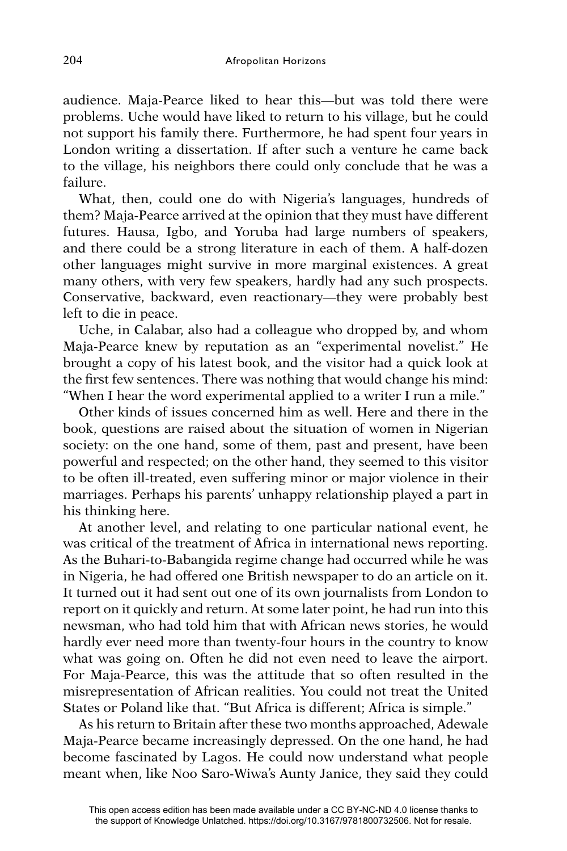audience. Maja-Pearce liked to hear this—but was told there were problems. Uche would have liked to return to his village, but he could not support his family there. Furthermore, he had spent four years in London writing a dissertation. If after such a venture he came back to the village, his neighbors there could only conclude that he was a failure.

What, then, could one do with Nigeria's languages, hundreds of them? Maja-Pearce arrived at the opinion that they must have different futures. Hausa, Igbo, and Yoruba had large numbers of speakers, and there could be a strong literature in each of them. A half-dozen other languages might survive in more marginal existences. A great many others, with very few speakers, hardly had any such prospects. Conservative, backward, even reactionary—they were probably best left to die in peace.

Uche, in Calabar, also had a colleague who dropped by, and whom Maja-Pearce knew by reputation as an "experimental novelist." He brought a copy of his latest book, and the visitor had a quick look at the first few sentences. There was nothing that would change his mind: "When I hear the word experimental applied to a writer I run a mile."

Other kinds of issues concerned him as well. Here and there in the book, questions are raised about the situation of women in Nigerian society: on the one hand, some of them, past and present, have been powerful and respected; on the other hand, they seemed to this visitor to be often ill-treated, even suffering minor or major violence in their marriages. Perhaps his parents' unhappy relationship played a part in his thinking here.

At another level, and relating to one particular national event, he was critical of the treatment of Africa in international news reporting. As the Buhari-to-Babangida regime change had occurred while he was in Nigeria, he had offered one British newspaper to do an article on it. It turned out it had sent out one of its own journalists from London to report on it quickly and return. At some later point, he had run into this newsman, who had told him that with African news stories, he would hardly ever need more than twenty-four hours in the country to know what was going on. Often he did not even need to leave the airport. For Maja-Pearce, this was the attitude that so often resulted in the misrepresentation of African realities. You could not treat the United States or Poland like that. "But Africa is different; Africa is simple."

As his return to Britain after these two months approached, Adewale Maja-Pearce became increasingly depressed. On the one hand, he had become fascinated by Lagos. He could now understand what people meant when, like Noo Saro-Wiwa's Aunty Janice, they said they could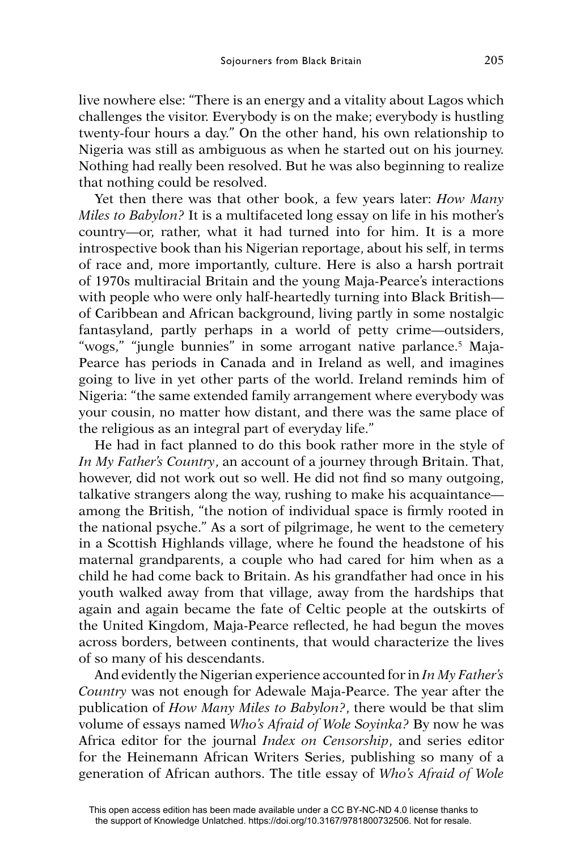live nowhere else: "There is an energy and a vitality about Lagos which challenges the visitor. Everybody is on the make; everybody is hustling twenty-four hours a day." On the other hand, his own relationship to Nigeria was still as ambiguous as when he started out on his journey. Nothing had really been resolved. But he was also beginning to realize that nothing could be resolved.

Yet then there was that other book, a few years later: *How Many Miles to Babylon?* It is a multifaceted long essay on life in his mother's country—or, rather, what it had turned into for him. It is a more introspective book than his Nigerian reportage, about his self, in terms of race and, more importantly, culture. Here is also a harsh portrait of 1970s multiracial Britain and the young Maja-Pearce's interactions with people who were only half-heartedly turning into Black British of Caribbean and African background, living partly in some nostalgic fantasyland, partly perhaps in a world of petty crime—outsiders, "wogs," "jungle bunnies" in some arrogant native parlance.5 Maja-Pearce has periods in Canada and in Ireland as well, and imagines going to live in yet other parts of the world. Ireland reminds him of Nigeria: "the same extended family arrangement where everybody was your cousin, no matter how distant, and there was the same place of the religious as an integral part of everyday life."

He had in fact planned to do this book rather more in the style of *In My Father's Country*, an account of a journey through Britain. That, however, did not work out so well. He did not find so many outgoing, talkative strangers along the way, rushing to make his acquaintance among the British, "the notion of individual space is firmly rooted in the national psyche." As a sort of pilgrimage, he went to the cemetery in a Scottish Highlands village, where he found the headstone of his maternal grandparents, a couple who had cared for him when as a child he had come back to Britain. As his grandfather had once in his youth walked away from that village, away from the hardships that again and again became the fate of Celtic people at the outskirts of the United Kingdom, Maja-Pearce reflected, he had begun the moves across borders, between continents, that would characterize the lives of so many of his descendants.

And evidently the Nigerian experience accounted for in *In My Father's Country* was not enough for Adewale Maja-Pearce. The year after the publication of *How Many Miles to Babylon?*, there would be that slim volume of essays named *Who's Afraid of Wole Soyinka?* By now he was Africa editor for the journal *Index on Censorship*, and series editor for the Heinemann African Writers Series, publishing so many of a generation of African authors. The title essay of *Who's Afraid of Wole*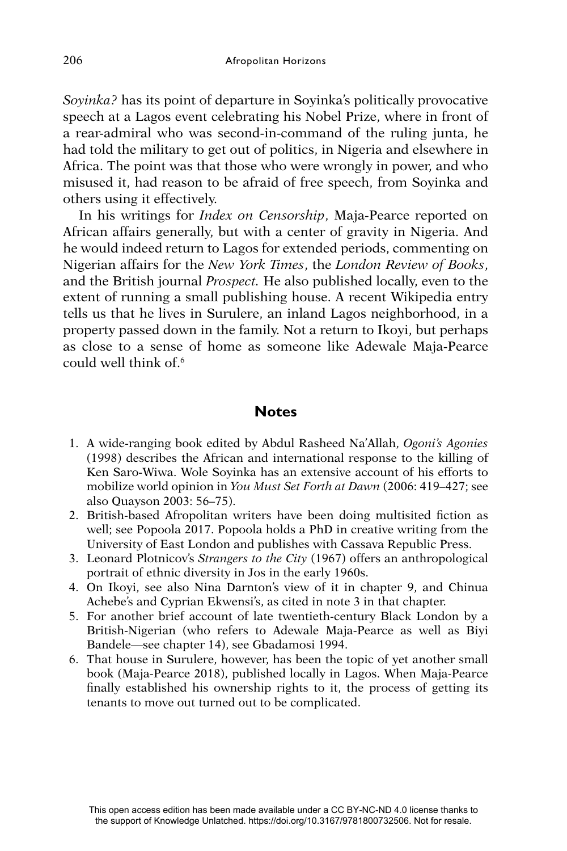*Soyinka?* has its point of departure in Soyinka's politically provocative speech at a Lagos event celebrating his Nobel Prize, where in front of a rear-admiral who was second-in-command of the ruling junta, he had told the military to get out of politics, in Nigeria and elsewhere in Africa. The point was that those who were wrongly in power, and who misused it, had reason to be afraid of free speech, from Soyinka and others using it effectively.

In his writings for *Index on Censorship*, Maja-Pearce reported on African affairs generally, but with a center of gravity in Nigeria. And he would indeed return to Lagos for extended periods, commenting on Nigerian affairs for the *New York Times*, the *London Review of Books*, and the British journal *Prospect.* He also published locally, even to the extent of running a small publishing house. A recent Wikipedia entry tells us that he lives in Surulere, an inland Lagos neighborhood, in a property passed down in the family. Not a return to Ikoyi, but perhaps as close to a sense of home as someone like Adewale Maja-Pearce could well think of.<sup>6</sup>

## **Notes**

- 1. A wide-ranging book edited by Abdul Rasheed Na'Allah, *Ogoni's Agonies*  (1998) describes the African and international response to the killing of Ken Saro-Wiwa. Wole Soyinka has an extensive account of his efforts to mobilize world opinion in *You Must Set Forth at Dawn* (2006: 419–427; see also Quayson 2003: 56–75).
- 2. British-based Afropolitan writers have been doing multisited fiction as well; see Popoola 2017. Popoola holds a PhD in creative writing from the University of East London and publishes with Cassava Republic Press.
- 3. Leonard Plotnicov's *Strangers to the City* (1967) offers an anthropological portrait of ethnic diversity in Jos in the early 1960s.
- 4. On Ikoyi, see also Nina Darnton's view of it in chapter 9, and Chinua Achebe's and Cyprian Ekwensi's, as cited in note 3 in that chapter.
- 5. For another brief account of late twentieth-century Black London by a British-Nigerian (who refers to Adewale Maja-Pearce as well as Biyi Bandele—see chapter 14), see Gbadamosi 1994.
- 6. That house in Surulere, however, has been the topic of yet another small book (Maja-Pearce 2018), published locally in Lagos. When Maja-Pearce finally established his ownership rights to it, the process of getting its tenants to move out turned out to be complicated.